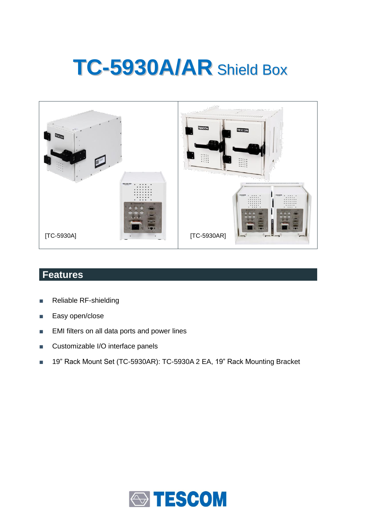# **TC-5930A/AR** Shield Box



## **Features**

- Reliable RF-shielding
- Easy open/close
- EMI filters on all data ports and power lines
- Customizable I/O interface panels
- 19" Rack Mount Set (TC-5930AR): TC-5930A 2 EA, 19" Rack Mounting Bracket

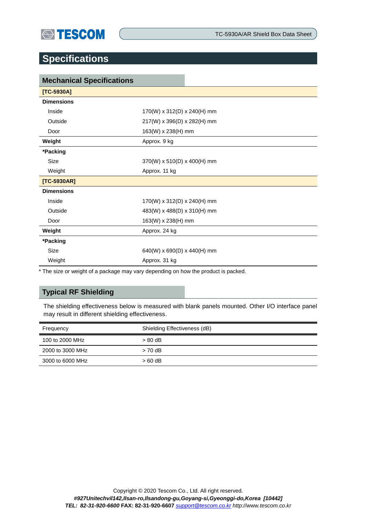

TC-5930A/AR Shield Box Data Sheet

## **Specifications**

| <b>Mechanical Specifications</b> |                             |  |  |
|----------------------------------|-----------------------------|--|--|
| $[TC-5930A]$                     |                             |  |  |
| <b>Dimensions</b>                |                             |  |  |
| Inside                           | 170(W) x 312(D) x 240(H) mm |  |  |
| Outside                          | 217(W) x 396(D) x 282(H) mm |  |  |
| Door                             | 163(W) x 238(H) mm          |  |  |
| Weight                           | Approx. 9 kg                |  |  |
| *Packing                         |                             |  |  |
| Size                             | 370(W) x 510(D) x 400(H) mm |  |  |
| Weight                           | Approx. 11 kg               |  |  |
| $[TC-5930AR]$                    |                             |  |  |
| <b>Dimensions</b>                |                             |  |  |
| Inside                           | 170(W) x 312(D) x 240(H) mm |  |  |
| Outside                          | 483(W) x 488(D) x 310(H) mm |  |  |
| Door                             | 163(W) x 238(H) mm          |  |  |
| Weight                           | Approx. 24 kg               |  |  |
| *Packing                         |                             |  |  |
| Size                             | 640(W) x 690(D) x 440(H) mm |  |  |
| Weight                           | Approx. 31 kg               |  |  |

\* The size or weight of a package may vary depending on how the product is packed.

## **Typical RF Shielding**

The shielding effectiveness below is measured with blank panels mounted. Other I/O interface panel may result in different shielding effectiveness.

| Frequency        | Shielding Effectiveness (dB) |  |
|------------------|------------------------------|--|
| 100 to 2000 MHz  | $>80$ dB                     |  |
| 2000 to 3000 MHz | $> 70$ dB                    |  |
| 3000 to 6000 MHz | $>60$ dB                     |  |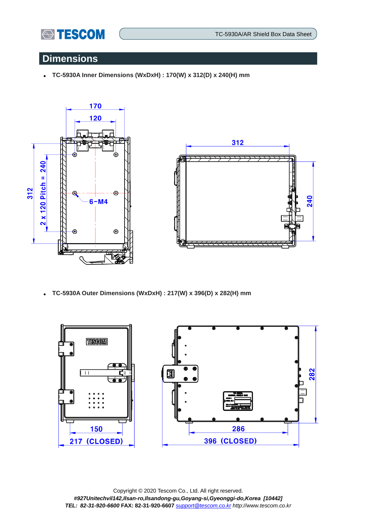

TC-5930A/AR Shield Box Data Sheet

## **Dimensions**

**TC-5930A Inner Dimensions (WxDxH) : 170(W) x 312(D) x 240(H) mm** 





**TC-5930A Outer Dimensions (WxDxH) : 217(W) x 396(D) x 282(H) mm** 

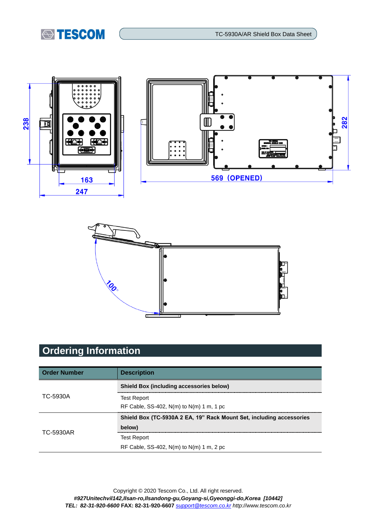





# **Ordering Information**

| <b>Order Number</b> | <b>Description</b>                                                   |  |
|---------------------|----------------------------------------------------------------------|--|
| TC-5930A            | <b>Shield Box (including accessories below)</b>                      |  |
|                     | <b>Test Report</b>                                                   |  |
|                     | RF Cable, SS-402, $N(m)$ to $N(m)$ 1 m, 1 pc                         |  |
| TC-5930AR           | Shield Box (TC-5930A 2 EA, 19" Rack Mount Set, including accessories |  |
|                     | below)                                                               |  |
|                     | <b>Test Report</b>                                                   |  |
|                     | RF Cable, SS-402, $N(m)$ to $N(m)$ 1 m, 2 pc                         |  |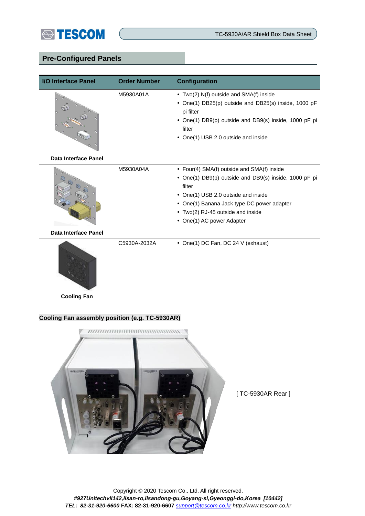

### **Pre-Configured Panels**

| I/O Interface Panel         | <b>Order Number</b> | <b>Configuration</b>                                                                                                                                                                                                                                                 |
|-----------------------------|---------------------|----------------------------------------------------------------------------------------------------------------------------------------------------------------------------------------------------------------------------------------------------------------------|
|                             | M5930A01A           | • Two(2) N(f) outside and SMA(f) inside<br>• One(1) DB25(p) outside and DB25(s) inside, 1000 pF<br>pi filter<br>• One(1) DB9(p) outside and DB9(s) inside, 1000 pF pi<br>filter<br>• One(1) USB 2.0 outside and inside                                               |
| <b>Data Interface Panel</b> |                     |                                                                                                                                                                                                                                                                      |
|                             | M5930A04A           | • Four(4) SMA(f) outside and SMA(f) inside<br>• One(1) DB9(p) outside and DB9(s) inside, 1000 pF pi<br>filter<br>• One(1) USB 2.0 outside and inside<br>• One(1) Banana Jack type DC power adapter<br>• Two(2) RJ-45 outside and inside<br>• One(1) AC power Adapter |
| <b>Data Interface Panel</b> |                     |                                                                                                                                                                                                                                                                      |
|                             | C5930A-2032A        | • One(1) DC Fan, DC 24 V (exhaust)                                                                                                                                                                                                                                   |

**Cooling Fan**

#### **Cooling Fan assembly position (e.g. TC-5930AR)**



[ TC-5930AR Rear ]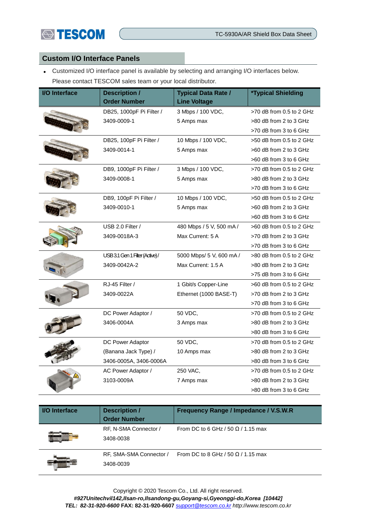

#### **Custom I/O Interface Panels**

 Customized I/O interface panel is available by selecting and arranging I/O interfaces below. Please contact TESCOM sales team or your local distributor.

| <b>I/O Interface</b> | <b>Description /</b><br><b>Order Number</b> | <b>Typical Data Rate /</b><br><b>Line Voltage</b> | <i><b>*Typical Shielding</b></i> |
|----------------------|---------------------------------------------|---------------------------------------------------|----------------------------------|
|                      | DB25, 1000pF Pi Filter /                    | 3 Mbps / 100 VDC,                                 | $>70$ dB from 0.5 to 2 GHz       |
|                      | 3409-0009-1                                 | 5 Amps max                                        | >80 dB from 2 to 3 GHz           |
|                      |                                             |                                                   | >70 dB from 3 to 6 GHz           |
|                      | DB25, 100pF Pi Filter /                     | 10 Mbps / 100 VDC,                                | $>50$ dB from 0.5 to 2 GHz       |
|                      | 3409-0014-1                                 | 5 Amps max                                        | >60 dB from 2 to 3 GHz           |
|                      |                                             |                                                   | >60 dB from 3 to 6 GHz           |
|                      | DB9, 1000pF Pi Filter /                     | 3 Mbps / 100 VDC,                                 | >70 dB from 0.5 to 2 GHz         |
|                      | 3409-0008-1                                 | 5 Amps max                                        | >80 dB from 2 to 3 GHz           |
|                      |                                             |                                                   | >70 dB from 3 to 6 GHz           |
|                      | DB9, 100pF Pi Filter /                      | 10 Mbps / 100 VDC,                                | >50 dB from 0.5 to 2 GHz         |
|                      | 3409-0010-1                                 | 5 Amps max                                        | >60 dB from 2 to 3 GHz           |
|                      |                                             |                                                   | >60 dB from 3 to 6 GHz           |
|                      | USB 2.0 Filter /                            | 480 Mbps / 5 V, 500 mA /                          | $>60$ dB from 0.5 to 2 GHz       |
|                      | 3409-0018A-3                                | Max Current: 5 A                                  | >70 dB from 2 to 3 GHz           |
|                      |                                             |                                                   | >70 dB from 3 to 6 GHz           |
|                      | USB 3.1 Gen 1 Filter (Active)/              | 5000 Mbps/ 5 V, 600 mA /                          | $>80$ dB from 0.5 to 2 GHz       |
|                      | 3409-0042A-2                                | Max Current: 1.5 A                                | >80 dB from 2 to 3 GHz           |
|                      |                                             |                                                   | >75 dB from 3 to 6 GHz           |
|                      | RJ-45 Filter /                              | 1 Gbit/s Copper-Line                              | >60 dB from 0.5 to 2 GHz         |
|                      | 3409-0022A                                  | Ethernet (1000 BASE-T)                            | >70 dB from 2 to 3 GHz           |
|                      |                                             |                                                   | >70 dB from 3 to 6 GHz           |
|                      | DC Power Adaptor /                          | 50 VDC,                                           | >70 dB from 0.5 to 2 GHz         |
|                      | 3406-0004A                                  | 3 Amps max                                        | >80 dB from 2 to 3 GHz           |
|                      |                                             |                                                   | >80 dB from 3 to 6 GHz           |
|                      | DC Power Adaptor                            | 50 VDC,                                           | $>70$ dB from 0.5 to 2 GHz       |
|                      | (Banana Jack Type) /                        | 10 Amps max                                       | >80 dB from 2 to 3 GHz           |
|                      | 3406-0005A, 3406-0006A                      |                                                   | >80 dB from 3 to 6 GHz           |
|                      | AC Power Adaptor /                          | 250 VAC,                                          | $>70$ dB from 0.5 to 2 GHz       |
|                      | 3103-0009A                                  | 7 Amps max                                        | >80 dB from 2 to 3 GHz           |
|                      |                                             |                                                   | >80 dB from 3 to 6 GHz           |

| <b>I/O</b> Interface | <b>Description /</b><br><b>Order Number</b> | Frequency Range / Impedance / V.S.W.R     |
|----------------------|---------------------------------------------|-------------------------------------------|
|                      | RF, N-SMA Connector /<br>3408-0038          | From DC to 6 GHz / 50 $\Omega$ / 1.15 max |
|                      | RF, SMA-SMA Connector /<br>3408-0039        | From DC to 8 GHz / 50 $\Omega$ / 1.15 max |